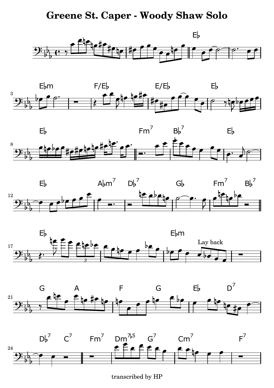## **Greene St. Caper - Woody Shaw Solo**















transcribed by HP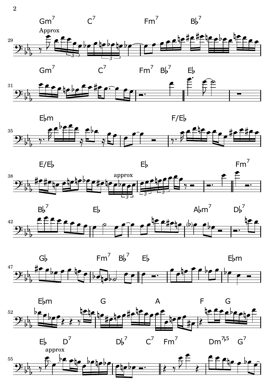